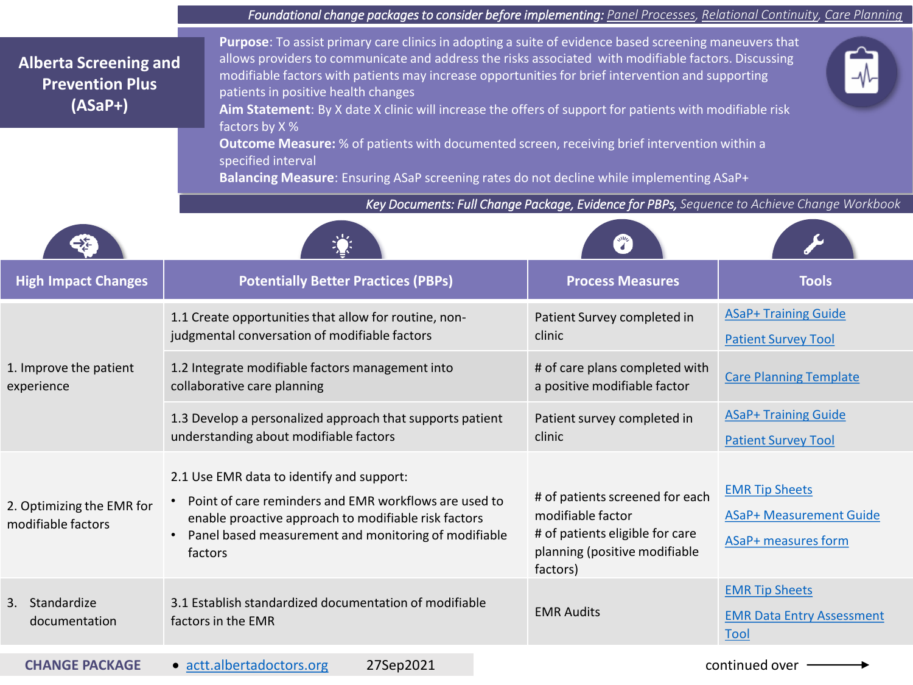|                                                                     | Foundational change packages to consider before implementing: Panel Processes, Relational Continuity, Care Planning                                                                                                                                                                                                                                                                                                                                                                                                                                                                                                                                                                                       |                                                                                                                                      |                                                                                       |  |
|---------------------------------------------------------------------|-----------------------------------------------------------------------------------------------------------------------------------------------------------------------------------------------------------------------------------------------------------------------------------------------------------------------------------------------------------------------------------------------------------------------------------------------------------------------------------------------------------------------------------------------------------------------------------------------------------------------------------------------------------------------------------------------------------|--------------------------------------------------------------------------------------------------------------------------------------|---------------------------------------------------------------------------------------|--|
| <b>Alberta Screening and</b><br><b>Prevention Plus</b><br>$(ASaP+)$ | Purpose: To assist primary care clinics in adopting a suite of evidence based screening maneuvers that<br>allows providers to communicate and address the risks associated with modifiable factors. Discussing<br>modifiable factors with patients may increase opportunities for brief intervention and supporting<br>patients in positive health changes<br>Aim Statement: By X date X clinic will increase the offers of support for patients with modifiable risk<br>factors by X %<br>Outcome Measure: % of patients with documented screen, receiving brief intervention within a<br>specified interval<br>Balancing Measure: Ensuring ASaP screening rates do not decline while implementing ASaP+ |                                                                                                                                      |                                                                                       |  |
|                                                                     | Key Documents: Full Change Package, Evidence for PBPs, Sequence to Achieve Change Workbook                                                                                                                                                                                                                                                                                                                                                                                                                                                                                                                                                                                                                |                                                                                                                                      |                                                                                       |  |
|                                                                     |                                                                                                                                                                                                                                                                                                                                                                                                                                                                                                                                                                                                                                                                                                           |                                                                                                                                      |                                                                                       |  |
| <b>High Impact Changes</b>                                          | <b>Potentially Better Practices (PBPs)</b>                                                                                                                                                                                                                                                                                                                                                                                                                                                                                                                                                                                                                                                                | <b>Process Measures</b>                                                                                                              | <b>Tools</b>                                                                          |  |
| 1. Improve the patient<br>experience                                | 1.1 Create opportunities that allow for routine, non-<br>judgmental conversation of modifiable factors                                                                                                                                                                                                                                                                                                                                                                                                                                                                                                                                                                                                    | Patient Survey completed in<br>clinic                                                                                                | <b>ASaP+ Training Guide</b><br><b>Patient Survey Tool</b>                             |  |
|                                                                     | 1.2 Integrate modifiable factors management into<br>collaborative care planning                                                                                                                                                                                                                                                                                                                                                                                                                                                                                                                                                                                                                           | # of care plans completed with<br>a positive modifiable factor                                                                       | <b>Care Planning Template</b>                                                         |  |
|                                                                     | 1.3 Develop a personalized approach that supports patient<br>understanding about modifiable factors                                                                                                                                                                                                                                                                                                                                                                                                                                                                                                                                                                                                       | Patient survey completed in<br>clinic                                                                                                | <b>ASaP+ Training Guide</b><br><b>Patient Survey Tool</b>                             |  |
| 2. Optimizing the EMR for<br>modifiable factors                     | 2.1 Use EMR data to identify and support:<br>Point of care reminders and EMR workflows are used to<br>enable proactive approach to modifiable risk factors<br>Panel based measurement and monitoring of modifiable<br>$\bullet$<br>factors                                                                                                                                                                                                                                                                                                                                                                                                                                                                | # of patients screened for each<br>modifiable factor<br># of patients eligible for care<br>planning (positive modifiable<br>factors) | <b>EMR Tip Sheets</b><br><b>ASaP+ Measurement Guide</b><br><b>ASaP+ measures form</b> |  |
| 3. Standardize<br>documentation                                     | 3.1 Establish standardized documentation of modifiable<br>factors in the EMR                                                                                                                                                                                                                                                                                                                                                                                                                                                                                                                                                                                                                              | <b>EMR Audits</b>                                                                                                                    | <b>EMR Tip Sheets</b><br><b>EMR Data Entry Assessment</b><br>Tool                     |  |
| <b>CHANGE PACKAGE</b>                                               | 27Sep2021<br>· actt.albertadoctors.org                                                                                                                                                                                                                                                                                                                                                                                                                                                                                                                                                                                                                                                                    | continued over -                                                                                                                     |                                                                                       |  |